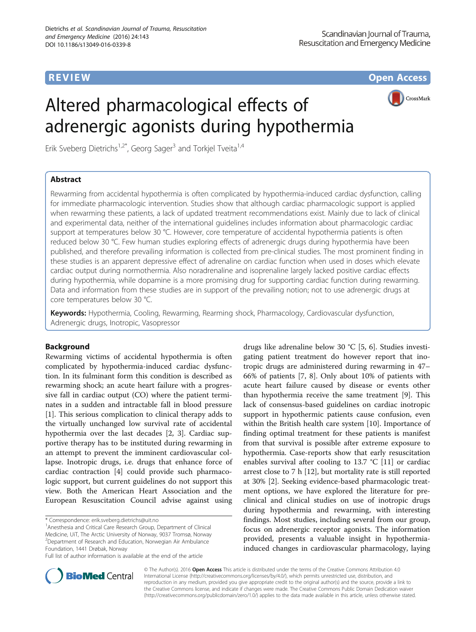**REVIEW CONTROL** CONTROL CONTROL CONTROL CONTROL CONTROL CONTROL CONTROL CONTROL CONTROL CONTROL CONTROL CONTROL CONTROL CONTROL CONTROL CONTROL CONTROL CONTROL CONTROL CONTROL CONTROL CONTROL CONTROL CONTROL CONTROL CONTR

# Altered pharmacological effects of adrenergic agonists during hypothermia

Erik Sveberg Dietrichs<sup>1,2\*</sup>, Georg Sager<sup>3</sup> and Torkjel Tveita<sup>1,4</sup>

## Abstract

CrossMark

Rewarming from accidental hypothermia is often complicated by hypothermia-induced cardiac dysfunction, calling for immediate pharmacologic intervention. Studies show that although cardiac pharmacologic support is applied when rewarming these patients, a lack of updated treatment recommendations exist. Mainly due to lack of clinical and experimental data, neither of the international guidelines includes information about pharmacologic cardiac support at temperatures below 30 °C. However, core temperature of accidental hypothermia patients is often reduced below 30 °C. Few human studies exploring effects of adrenergic drugs during hypothermia have been published, and therefore prevailing information is collected from pre-clinical studies. The most prominent finding in these studies is an apparent depressive effect of adrenaline on cardiac function when used in doses which elevate cardiac output during normothermia. Also noradrenaline and isoprenaline largely lacked positive cardiac effects during hypothermia, while dopamine is a more promising drug for supporting cardiac function during rewarming. Data and information from these studies are in support of the prevailing notion; not to use adrenergic drugs at core temperatures below 30 °C.

Keywords: Hypothermia, Cooling, Rewarming, Rearming shock, Pharmacology, Cardiovascular dysfunction, Adrenergic drugs, Inotropic, Vasopressor

## Background

Rewarming victims of accidental hypothermia is often complicated by hypothermia-induced cardiac dysfunction. In its fulminant form this condition is described as rewarming shock; an acute heart failure with a progressive fall in cardiac output (CO) where the patient terminates in a sudden and intractable fall in blood pressure [[1\]](#page-6-0). This serious complication to clinical therapy adds to the virtually unchanged low survival rate of accidental hypothermia over the last decades [[2](#page-6-0), [3](#page-6-0)]. Cardiac supportive therapy has to be instituted during rewarming in an attempt to prevent the imminent cardiovascular collapse. Inotropic drugs, i.e. drugs that enhance force of cardiac contraction [[4\]](#page-6-0) could provide such pharmacologic support, but current guidelines do not support this view. Both the American Heart Association and the European Resuscitation Council advise against using

\* Correspondence: [erik.sveberg.dietrichs@uit.no](mailto:erik.sveberg.dietrichs@uit.no) <sup>1</sup>

<sup>1</sup> Anesthesia and Critical Care Research Group, Department of Clinical Medicine, UiT, The Arctic University of Norway, 9037 Tromsø, Norway <sup>2</sup> Department of Research and Education, Norwegian Air Ambulance Foundation, 1441 Drøbak, Norway

Full list of author information is available at the end of the article

drugs like adrenaline below 30 °C [[5](#page-6-0), [6\]](#page-6-0). Studies investigating patient treatment do however report that inotropic drugs are administered during rewarming in 47– 66% of patients [\[7](#page-6-0), [8](#page-7-0)]. Only about 10% of patients with acute heart failure caused by disease or events other than hypothermia receive the same treatment [[9\]](#page-7-0). This lack of consensus-based guidelines on cardiac inotropic support in hypothermic patients cause confusion, even within the British health care system [[10\]](#page-7-0). Importance of finding optimal treatment for these patients is manifest from that survival is possible after extreme exposure to hypothermia. Case-reports show that early resuscitation enables survival after cooling to 13.7 °C [[11\]](#page-7-0) or cardiac arrest close to 7 h [\[12\]](#page-7-0), but mortality rate is still reported at 30% [[2\]](#page-6-0). Seeking evidence-based pharmacologic treatment options, we have explored the literature for preclinical and clinical studies on use of inotropic drugs during hypothermia and rewarming, with interesting findings. Most studies, including several from our group, focus on adrenergic receptor agonists. The information provided, presents a valuable insight in hypothermiainduced changes in cardiovascular pharmacology, laying



© The Author(s). 2016 Open Access This article is distributed under the terms of the Creative Commons Attribution 4.0 International License [\(http://creativecommons.org/licenses/by/4.0/](http://creativecommons.org/licenses/by/4.0/)), which permits unrestricted use, distribution, and reproduction in any medium, provided you give appropriate credit to the original author(s) and the source, provide a link to the Creative Commons license, and indicate if changes were made. The Creative Commons Public Domain Dedication waiver [\(http://creativecommons.org/publicdomain/zero/1.0/](http://creativecommons.org/publicdomain/zero/1.0/)) applies to the data made available in this article, unless otherwise stated.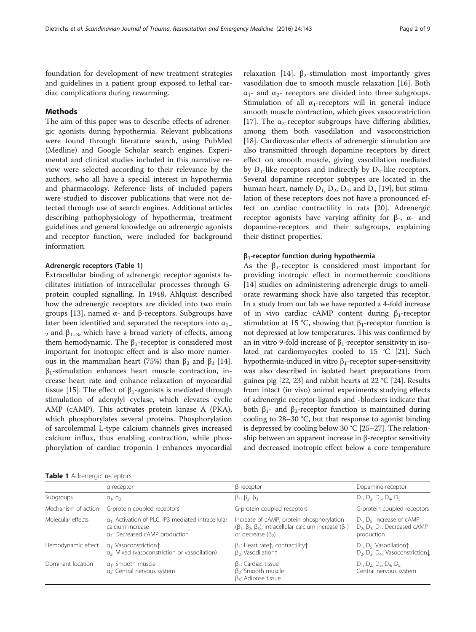foundation for development of new treatment strategies and guidelines in a patient group exposed to lethal cardiac complications during rewarming.

## Methods

The aim of this paper was to describe effects of adrenergic agonists during hypothermia. Relevant publications were found through literature search, using PubMed (Medline) and Google Scholar search engines. Experimental and clinical studies included in this narrative review were selected according to their relevance by the authors, who all have a special interest in hypothermia and pharmacology. Reference lists of included papers were studied to discover publications that were not detected through use of search engines. Additional articles describing pathophysiology of hypothermia, treatment guidelines and general knowledge on adrenergic agonists and receptor function, were included for background information.

## Adrenergic receptors (Table 1)

Extracellular binding of adrenergic receptor agonists facilitates initiation of intracellular processes through Gprotein coupled signalling. In 1948, Ahlquist described how the adrenergic receptors are divided into two main groups [\[13](#page-7-0)], named α- and β-receptors. Subgroups have later been identified and separated the receptors into  $\alpha_{1-}$  $2$  and β<sub>1–3</sub>, which have a broad variety of effects, among them hemodynamic. The  $β_1$ -receptor is considered most important for inotropic effect and is also more numerous in the mammalian heart (75%) than  $β_2$  and  $β_3$  [\[14](#page-7-0)].  $\beta_1$ -stimulation enhances heart muscle contraction, increase heart rate and enhance relaxation of myocardial tissue [[15\]](#page-7-0). The effect of  $\beta_1$ -agonists is mediated through stimulation of adenylyl cyclase, which elevates cyclic AMP (cAMP). This activates protein kinase A (PKA), which phosphorylates several proteins. Phosphorylation of sarcolemmal L-type calcium channels gives increased calcium influx, thus enabling contraction, while phosphorylation of cardiac troponin I enhances myocardial

relaxation [\[14\]](#page-7-0). β<sub>2</sub>-stimulation most importantly gives vasodilation due to smooth muscle relaxation [[16](#page-7-0)]. Both  $\alpha_1$ - and  $\alpha_2$ - receptors are divided into three subgroups. Stimulation of all  $\alpha_1$ -receptors will in general induce smooth muscle contraction, which gives vasoconstriction [[17\]](#page-7-0). The  $\alpha_2$ -receptor subgroups have differing abilities, among them both vasodilation and vasoconstriction [[18\]](#page-7-0). Cardiovascular effects of adrenergic stimulation are also transmitted through dopamine receptors by direct effect on smooth muscle, giving vasodilation mediated by  $D_1$ -like receptors and indirectly by  $D_2$ -like receptors. Several dopamine receptor subtypes are located in the human heart, namely  $D_1$ ,  $D_2$ ,  $D_4$ , and  $D_5$  [\[19\]](#page-7-0), but stimulation of these receptors does not have a pronounced effect on cardiac contractility in rats [[20\]](#page-7-0). Adrenergic receptor agonists have varying affinity for β-, α- and dopamine-receptors and their subgroups, explaining their distinct properties.

#### $β₁$ -receptor function during hypothermia

As the  $\beta_1$ -receptor is considered most important for providing inotropic effect in normothermic conditions [[14\]](#page-7-0) studies on administering adrenergic drugs to ameliorate rewarming shock have also targeted this receptor. In a study from our lab we have reported a 4-fold increase of in vivo cardiac cAMP content during  $\beta_1$ -receptor stimulation at 15 °C, showing that  $β_1$ -receptor function is not depressed at low temperatures. This was confirmed by an in vitro 9-fold increase of  $β₁$ -receptor sensitivity in iso-lated rat cardiomyocytes cooled to 15 °C [[21](#page-7-0)]. Such hypothermia-induced in vitro  $β_1$ -receptor super-sensitivity was also described in isolated heart preparations from guinea pig [\[22, 23](#page-7-0)] and rabbit hearts at 22 °C [\[24\]](#page-7-0). Results from intact (in vivo) animal experiments studying effects of adrenergic receptor-ligands and -blockers indicate that both  $β_1$ - and  $β_2$ -receptor function is maintained during cooling to 28–30 °C, but that response to agonist binding is depressed by cooling below 30 °C [[25](#page-7-0)–[27](#page-7-0)]. The relationship between an apparent increase in β-receptor sensitivity and decreased inotropic effect below a core temperature

|  |  | Table 1 Adrenergic receptors |  |
|--|--|------------------------------|--|
|--|--|------------------------------|--|

|                     | a-receptor                                                                                                                       | β-receptor                                                                                                                                         | Dopamine-receptor                                                                                                   |
|---------------------|----------------------------------------------------------------------------------------------------------------------------------|----------------------------------------------------------------------------------------------------------------------------------------------------|---------------------------------------------------------------------------------------------------------------------|
| Subgroups           | $a_1$ , $a_2$                                                                                                                    | $\beta_1$ , $\beta_2$ , $\beta_3$                                                                                                                  | $D_1$ , $D_2$ , $D_3$ , $D_4$ , $D_5$                                                                               |
| Mechanism of action | G-protein coupled receptors                                                                                                      | G-protein coupled receptors                                                                                                                        | G-protein coupled receptors                                                                                         |
| Molecular effects   | a <sub>1</sub> : Activation of PLC, IP3 mediated intracellular<br>calcium increase<br>α <sub>2</sub> : Decreased cAMP production | Increase of cAMP, protein phosphorylation<br>$(\beta_1, \beta_2, \beta_3)$ , intracellular calcium increase $(\beta_1)$<br>or decrease $(\beta_2)$ | $D_1$ , $D_5$ : Increase of cAMP<br>D <sub>2</sub> , D <sub>3</sub> , D <sub>4</sub> : Decreased cAMP<br>production |
| Hemodynamic effect  | $a_1$ : Vasoconstriction $\uparrow$<br>a <sub>2</sub> : Mixed (vasoconstriction or vasodilation)                                 | $\beta_1$ : Heart rate $\uparrow$ , contractility $\uparrow$<br>$\beta$ <sub>2</sub> : Vasodilation1                                               | $D_1$ , $D_5$ : Vasodilation $\uparrow$<br>$D_2$ , $D_3$ , $D_4$ : Vasoconstriction,                                |
| Dominant location   | $a_1$ : Smooth muscle<br>$a_2$ : Central nervous system                                                                          | $\beta_1$ : Cardiac tissue<br>$\beta_2$ : Smooth muscle<br>$\beta_3$ : Adipose tissue                                                              | $D_1$ , $D_2$ , $D_3$ , $D_4$ , $D_5$ .<br>Central nervous system                                                   |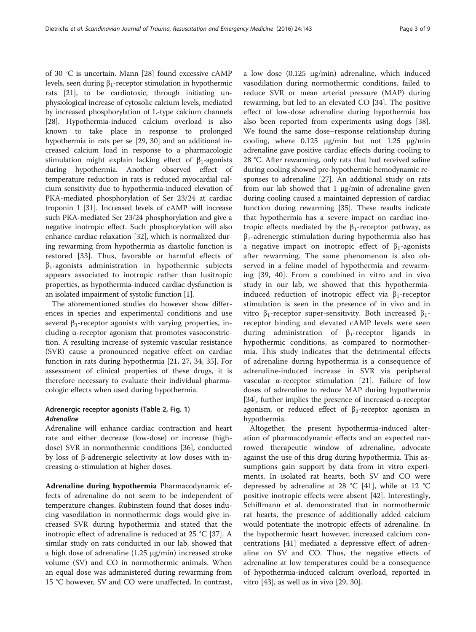of 30 °C is uncertain. Mann [\[28\]](#page-7-0) found excessive cAMP levels, seen during  $β_1$ -receptor stimulation in hypothermic rats [\[21](#page-7-0)], to be cardiotoxic, through initiating unphysiological increase of cytosolic calcium levels, mediated by increased phosphorylation of L-type calcium channels [[28](#page-7-0)]. Hypothermia-induced calcium overload is also known to take place in response to prolonged hypothermia in rats per se [\[29](#page-7-0), [30](#page-7-0)] and an additional increased calcium load in response to a pharmacologic stimulation might explain lacking effect of  $\beta_1$ -agonists during hypothermia. Another observed effect of temperature reduction in rats is reduced myocardial calcium sensitivity due to hypothermia-induced elevation of PKA-mediated phosphorylation of Ser 23/24 at cardiac troponin I [\[31\]](#page-7-0). Increased levels of cAMP will increase such PKA-mediated Ser 23/24 phosphorylation and give a negative inotropic effect. Such phosphorylation will also enhance cardiac relaxation [[32](#page-7-0)], which is normalized during rewarming from hypothermia as diastolic function is restored [\[33](#page-7-0)]. Thus, favorable or harmful effects of  $\beta_1$ -agonists administration in hypothermic subjects appears associated to inotropic rather than lusitropic properties, as hypothermia-induced cardiac dysfunction is an isolated impairment of systolic function [\[1\]](#page-6-0).

The aforementioned studies do however show differences in species and experimental conditions and use several  $\beta_1$ -receptor agonists with varying properties, including α-receptor agonism that promotes vasoconstriction. A resulting increase of systemic vascular resistance (SVR) cause a pronounced negative effect on cardiac function in rats during hypothermia [\[21](#page-7-0), [27](#page-7-0), [34, 35](#page-7-0)]. For assessment of clinical properties of these drugs, it is therefore necessary to evaluate their individual pharmacologic effects when used during hypothermia.

## Adrenergic receptor agonists (Table [2](#page-3-0), Fig. [1](#page-4-0)) **Adrenaline**

Adrenaline will enhance cardiac contraction and heart rate and either decrease (low-dose) or increase (highdose) SVR in normothermic conditions [[36\]](#page-7-0), conducted by loss of β-adrenergic selectivity at low doses with increasing α-stimulation at higher doses.

Adrenaline during hypothermia Pharmacodynamic effects of adrenaline do not seem to be independent of temperature changes. Rubinstein found that doses inducing vasodilation in normothermic dogs would give increased SVR during hypothermia and stated that the inotropic effect of adrenaline is reduced at 25 °C [\[37\]](#page-7-0). A similar study on rats conducted in our lab, showed that a high dose of adrenaline (1.25 μg/min) increased stroke volume (SV) and CO in normothermic animals. When an equal dose was administered during rewarming from 15 °C however, SV and CO were unaffected. In contrast, a low dose (0.125 μg/min) adrenaline, which induced vasodilation during normothermic conditions, failed to reduce SVR or mean arterial pressure (MAP) during rewarming, but led to an elevated CO [\[34\]](#page-7-0). The positive effect of low-dose adrenaline during hypothermia has also been reported from experiments using dogs [\[38](#page-7-0)]. We found the same dose–response relationship during cooling, where 0.125 μg/min but not 1.25 μg/min adrenaline gave positive cardiac effects during cooling to 28 °C. After rewarming, only rats that had received saline during cooling showed pre-hypothermic hemodynamic responses to adrenaline [\[27\]](#page-7-0). An additional study on rats from our lab showed that 1 μg/min of adrenaline given during cooling caused a maintained depression of cardiac function during rewarming [[35](#page-7-0)]. These results indicate that hypothermia has a severe impact on cardiac inotropic effects mediated by the  $β_1$ -receptor pathway, as  $\beta_1$ -adrenergic stimulation during hypothermia also has a negative impact on inotropic effect of  $\beta_1$ -agonists after rewarming. The same phenomenon is also observed in a feline model of hypothermia and rewarming [\[39](#page-7-0), [40\]](#page-7-0). From a combined in vitro and in vivo study in our lab, we showed that this hypothermiainduced reduction of inotropic effect via  $β_1$ -receptor stimulation is seen in the presence of in vivo and in vitro β<sub>1</sub>-receptor super-sensitivity. Both increased β<sub>1</sub>receptor binding and elevated cAMP levels were seen during administration of  $\beta_1$ -receptor ligands in hypothermic conditions, as compared to normothermia. This study indicates that the detrimental effects of adrenaline during hypothermia is a consequence of adrenaline-induced increase in SVR via peripheral vascular α-receptor stimulation [\[21](#page-7-0)]. Failure of low doses of adrenaline to reduce MAP during hypothermia [[34](#page-7-0)], further implies the presence of increased  $\alpha$ -receptor agonism, or reduced effect of  $\beta_2$ -receptor agonism in hypothermia.

Altogether, the present hypothermia-induced alteration of pharmacodynamic effects and an expected narrowed therapeutic window of adrenaline, advocate against the use of this drug during hypothermia. This assumptions gain support by data from in vitro experiments. In isolated rat hearts, both SV and CO were depressed by adrenaline at 28 °C [[41\]](#page-7-0), while at 12 °C positive inotropic effects were absent [[42](#page-7-0)]. Interestingly, Schiffmann et al. demonstrated that in normothermic rat hearts, the presence of additionally added calcium would potentiate the inotropic effects of adrenaline. In the hypothermic heart however, increased calcium concentrations [[41\]](#page-7-0) mediated a depressive effect of adrenaline on SV and CO. Thus, the negative effects of adrenaline at low temperatures could be a consequence of hypothermia-induced calcium overload, reported in vitro [[43\]](#page-7-0), as well as in vivo [\[29](#page-7-0), [30](#page-7-0)].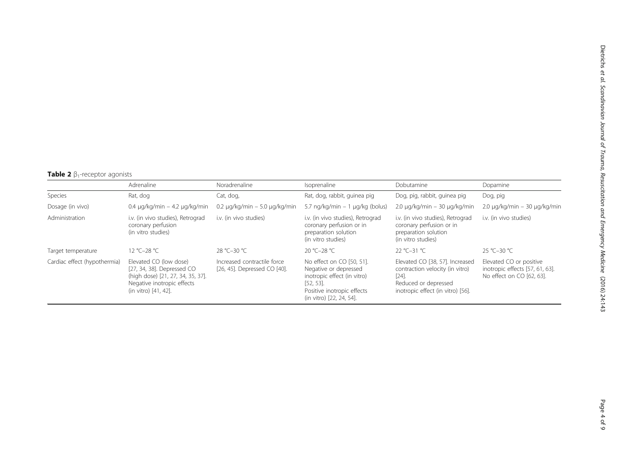# <span id="page-3-0"></span>Table 2  $\beta_1$ -receptor agonists

|                              | Adrenaline                                                                                                                                      | Noradrenaline                                               | Isoprenaline                                                                                                                                                | Dobutamine                                                                                                                                  | Dopamine                                                                                |
|------------------------------|-------------------------------------------------------------------------------------------------------------------------------------------------|-------------------------------------------------------------|-------------------------------------------------------------------------------------------------------------------------------------------------------------|---------------------------------------------------------------------------------------------------------------------------------------------|-----------------------------------------------------------------------------------------|
| Species                      | Rat, dog                                                                                                                                        | Cat, dog,                                                   | Rat, dog, rabbit, guinea pig                                                                                                                                | Dog, pig, rabbit, guinea pig                                                                                                                | Dog, pig                                                                                |
| Dosage (in vivo)             | $0.4 \mu q/kg/min - 4.2 \mu q/kg/min$                                                                                                           | $0.2 \mu q/kg/min - 5.0 \mu q/kg/min$                       | 5.7 ng/kg/min - 1 µg/kg (bolus)                                                                                                                             | $2.0 \mu q/kg/min - 30 \mu q/kg/min$                                                                                                        | $2.0 \mu q/kg/min - 30 \mu q/kg/min$                                                    |
| Administration               | i.v. (in vivo studies), Retrograd<br>coronary perfusion<br>(in vitro studies)                                                                   | i.v. (in vivo studies)                                      | i.v. (in vivo studies), Retrograd<br>coronary perfusion or in<br>preparation solution<br>(in vitro studies)                                                 | i.v. (in vivo studies), Retrograd<br>coronary perfusion or in<br>preparation solution<br>(in vitro studies)                                 | i.v. (in vivo studies)                                                                  |
| Target temperature           | 12 °C-28 °C                                                                                                                                     | 28 °C-30 °C                                                 | 20 °C-28 °C                                                                                                                                                 | 22 °C-31 °C                                                                                                                                 | 25 °C-30 °C                                                                             |
| Cardiac effect (hypothermia) | Elevated CO (low dose)<br>[27, 34, 38]. Depressed CO<br>(high dose) [21, 27, 34, 35, 37].<br>Negative inotropic effects<br>(in vitro) [41, 42]. | Increased contractile force<br>[26, 45]. Depressed CO [40]. | No effect on CO [50, 51].<br>Negative or depressed<br>inotropic effect (in vitro)<br>$[52, 53]$ .<br>Positive inotropic effects<br>(in vitro) [22, 24, 54]. | Elevated CO [38, 57]. Increased<br>contraction velocity (in vitro)<br>$[24]$ .<br>Reduced or depressed<br>inotropic effect (in vitro) [56]. | Elevated CO or positive<br>inotropic effects [57, 61, 63].<br>No effect on CO [62, 63]. |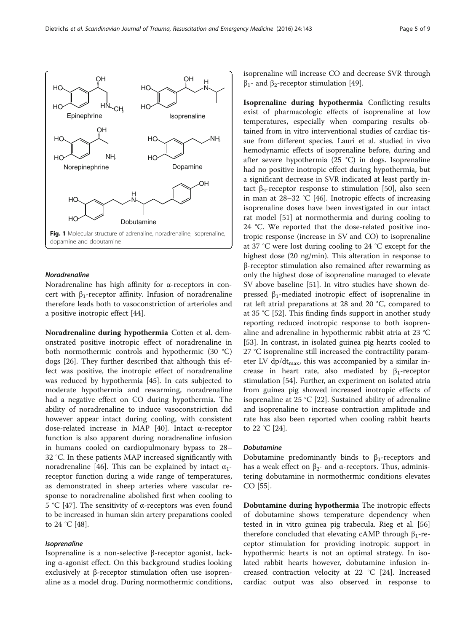<span id="page-4-0"></span>

## Noradrenaline

Noradrenaline has high affinity for α-receptors in concert with  $β₁$ -receptor affinity. Infusion of noradrenaline therefore leads both to vasoconstriction of arterioles and a positive inotropic effect [[44\]](#page-7-0).

Noradrenaline during hypothermia Cotten et al. demonstrated positive inotropic effect of noradrenaline in both normothermic controls and hypothermic (30 °C) dogs [[26](#page-7-0)]. They further described that although this effect was positive, the inotropic effect of noradrenaline was reduced by hypothermia [[45](#page-7-0)]. In cats subjected to moderate hypothermia and rewarming, noradrenaline had a negative effect on CO during hypothermia. The ability of noradrenaline to induce vasoconstriction did however appear intact during cooling, with consistent dose-related increase in MAP [\[40](#page-7-0)]. Intact α-receptor function is also apparent during noradrenaline infusion in humans cooled on cardiopulmonary bypass to 28– 32 °C. In these patients MAP increased significantly with noradrenaline [[46](#page-7-0)]. This can be explained by intact  $\alpha_1$ receptor function during a wide range of temperatures, as demonstrated in sheep arteries where vascular response to noradrenaline abolished first when cooling to 5 °C [\[47](#page-7-0)]. The sensitivity of α-receptors was even found to be increased in human skin artery preparations cooled to 24 °C [\[48\]](#page-7-0).

## Isoprenaline

Isoprenaline is a non-selective β-receptor agonist, lacking  $\alpha$ -agonist effect. On this background studies looking exclusively at β-receptor stimulation often use isoprenaline as a model drug. During normothermic conditions, isoprenaline will increase CO and decrease SVR through  $β<sub>1</sub>$ - and  $β<sub>2</sub>$ -receptor stimulation [[49\]](#page-7-0).

Isoprenaline during hypothermia Conflicting results exist of pharmacologic effects of isoprenaline at low temperatures, especially when comparing results obtained from in vitro interventional studies of cardiac tissue from different species. Lauri et al. studied in vivo hemodynamic effects of isoprenaline before, during and after severe hypothermia (25 °C) in dogs. Isoprenaline had no positive inotropic effect during hypothermia, but a significant decrease in SVR indicated at least partly in-tact β<sub>2</sub>-receptor response to stimulation [\[50\]](#page-7-0), also seen in man at 28–32 °C [\[46\]](#page-7-0). Inotropic effects of increasing isoprenaline doses have been investigated in our intact rat model [\[51\]](#page-7-0) at normothermia and during cooling to 24 °C. We reported that the dose-related positive inotropic response (increase in SV and CO) to isoprenaline at 37 °C were lost during cooling to 24 °C except for the highest dose (20 ng/min). This alteration in response to β-receptor stimulation also remained after rewarming as only the highest dose of isoprenaline managed to elevate SV above baseline [[51](#page-7-0)]. In vitro studies have shown depressed  $β_1$ -mediated inotropic effect of isoprenaline in rat left atrial preparations at 28 and 20 °C, compared to at 35 °C [\[52](#page-7-0)]. This finding finds support in another study reporting reduced inotropic response to both isoprenaline and adrenaline in hypothermic rabbit atria at 23 °C [[53\]](#page-7-0). In contrast, in isolated guinea pig hearts cooled to 27 °C isoprenaline still increased the contractility parameter LV dp/dt<sub>max</sub>, this was accompanied by a similar increase in heart rate, also mediated by  $\beta_1$ -receptor stimulation [\[54\]](#page-7-0). Further, an experiment on isolated atria from guinea pig showed increased inotropic effects of isoprenaline at 25 °C [[22](#page-7-0)]. Sustained ability of adrenaline and isoprenaline to increase contraction amplitude and rate has also been reported when cooling rabbit hearts to 22 °C [\[24](#page-7-0)].

## Dobutamine

Dobutamine predominantly binds to  $\beta_1$ -receptors and has a weak effect on  $β_2$ - and α-receptors. Thus, administering dobutamine in normothermic conditions elevates CO [\[55\]](#page-7-0).

Dobutamine during hypothermia The inotropic effects of dobutamine shows temperature dependency when tested in in vitro guinea pig trabecula. Rieg et al. [[56](#page-8-0)] therefore concluded that elevating cAMP through  $β_1$ -receptor stimulation for providing inotropic support in hypothermic hearts is not an optimal strategy. In isolated rabbit hearts however, dobutamine infusion increased contraction velocity at 22 °C [\[24](#page-7-0)]. Increased cardiac output was also observed in response to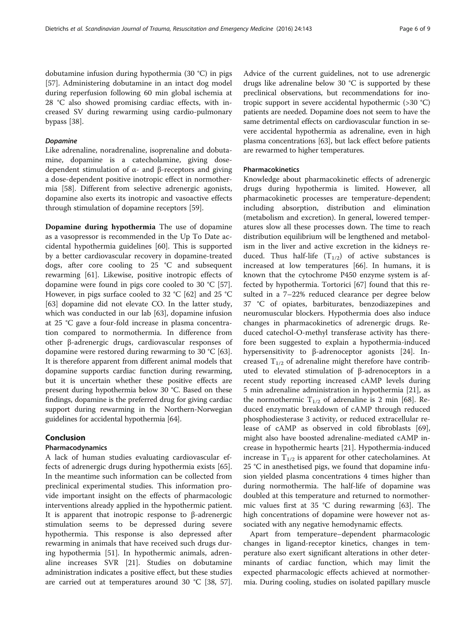dobutamine infusion during hypothermia (30 °C) in pigs [[57\]](#page-8-0). Administering dobutamine in an intact dog model during reperfusion following 60 min global ischemia at 28 °C also showed promising cardiac effects, with increased SV during rewarming using cardio-pulmonary bypass [[38](#page-7-0)].

### Dopamine

Like adrenaline, noradrenaline, isoprenaline and dobutamine, dopamine is a catecholamine, giving dosedependent stimulation of α- and β-receptors and giving a dose-dependent positive inotropic effect in normothermia [\[58](#page-8-0)]. Different from selective adrenergic agonists, dopamine also exerts its inotropic and vasoactive effects through stimulation of dopamine receptors [[59\]](#page-8-0).

Dopamine during hypothermia The use of dopamine as a vasopressor is recommended in the Up To Date accidental hypothermia guidelines [\[60](#page-8-0)]. This is supported by a better cardiovascular recovery in dopamine-treated dogs, after core cooling to 25 °C and subsequent rewarming [\[61\]](#page-8-0). Likewise, positive inotropic effects of dopamine were found in pigs core cooled to 30 °C [\[57](#page-8-0)]. However, in pigs surface cooled to 32 °C [[62\]](#page-8-0) and 25 °C [[63\]](#page-8-0) dopamine did not elevate CO. In the latter study, which was conducted in our lab [\[63](#page-8-0)], dopamine infusion at 25 °C gave a four-fold increase in plasma concentration compared to normothermia. In difference from other β-adrenergic drugs, cardiovascular responses of dopamine were restored during rewarming to 30 °C [\[63](#page-8-0)]. It is therefore apparent from different animal models that dopamine supports cardiac function during rewarming, but it is uncertain whether these positive effects are present during hypothermia below 30 °C. Based on these findings, dopamine is the preferred drug for giving cardiac support during rewarming in the Northern-Norwegian guidelines for accidental hypothermia [\[64](#page-8-0)].

## Conclusion

#### Pharmacodynamics

A lack of human studies evaluating cardiovascular effects of adrenergic drugs during hypothermia exists [\[65](#page-8-0)]. In the meantime such information can be collected from preclinical experimental studies. This information provide important insight on the effects of pharmacologic interventions already applied in the hypothermic patient. It is apparent that inotropic response to β-adrenergic stimulation seems to be depressed during severe hypothermia. This response is also depressed after rewarming in animals that have received such drugs during hypothermia [\[51](#page-7-0)]. In hypothermic animals, adrenaline increases SVR [\[21](#page-7-0)]. Studies on dobutamine administration indicates a positive effect, but these studies are carried out at temperatures around 30 °C [\[38,](#page-7-0) [57](#page-8-0)].

Advice of the current guidelines, not to use adrenergic drugs like adrenaline below 30 °C is supported by these preclinical observations, but recommendations for inotropic support in severe accidental hypothermic (>30 °C) patients are needed. Dopamine does not seem to have the same detrimental effects on cardiovascular function in severe accidental hypothermia as adrenaline, even in high plasma concentrations [\[63\]](#page-8-0), but lack effect before patients are rewarmed to higher temperatures.

### Pharmacokinetics

Knowledge about pharmacokinetic effects of adrenergic drugs during hypothermia is limited. However, all pharmacokinetic processes are temperature-dependent; including absorption, distribution and elimination (metabolism and excretion). In general, lowered temperatures slow all these processes down. The time to reach distribution equilibrium will be lengthened and metabolism in the liver and active excretion in the kidneys reduced. Thus half-life  $(T_{1/2})$  of active substances is increased at low temperatures [\[66\]](#page-8-0). In humans, it is known that the cytochrome P450 enzyme system is affected by hypothermia. Tortorici [[67\]](#page-8-0) found that this resulted in a 7–22% reduced clearance per degree below 37 °C of opiates, barbiturates, benzodiazepines and neuromuscular blockers. Hypothermia does also induce changes in pharmacokinetics of adrenergic drugs. Reduced catechol-O-methyl transferase activity has therefore been suggested to explain a hypothermia-induced hypersensitivity to β-adrenoceptor agonists [[24\]](#page-7-0). Increased  $T_{1/2}$  of adrenaline might therefore have contributed to elevated stimulation of β-adrenoceptors in a recent study reporting increased cAMP levels during 5 min adrenaline administration in hypothermia [[21](#page-7-0)], as the normothermic  $T_{1/2}$  of adrenaline is 2 min [\[68](#page-8-0)]. Reduced enzymatic breakdown of cAMP through reduced phosphodiesterase 3 activity, or reduced extracellular release of cAMP as observed in cold fibroblasts [\[69](#page-8-0)], might also have boosted adrenaline-mediated cAMP increase in hypothermic hearts [\[21](#page-7-0)]. Hypothermia-induced increase in  $T_{1/2}$  is apparent for other catecholamines. At 25 °C in anesthetised pigs, we found that dopamine infusion yielded plasma concentrations 4 times higher than during normothermia. The half-life of dopamine was doubled at this temperature and returned to normothermic values first at 35 °C during rewarming [\[63](#page-8-0)]. The high concentrations of dopamine were however not associated with any negative hemodynamic effects.

Apart from temperature–dependent pharmacologic changes in ligand-receptor kinetics, changes in temperature also exert significant alterations in other determinants of cardiac function, which may limit the expected pharmacologic effects achieved at normothermia. During cooling, studies on isolated papillary muscle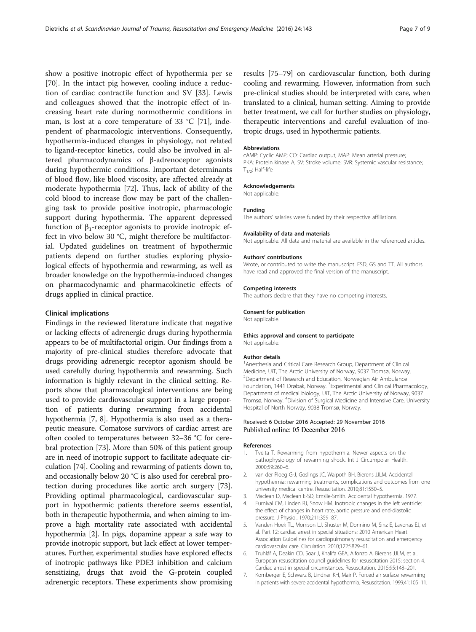<span id="page-6-0"></span>show a positive inotropic effect of hypothermia per se [[70\]](#page-8-0). In the intact pig however, cooling induce a reduction of cardiac contractile function and SV [[33\]](#page-7-0). Lewis and colleagues showed that the inotropic effect of increasing heart rate during normothermic conditions in man, is lost at a core temperature of 33 °C [[71\]](#page-8-0), independent of pharmacologic interventions. Consequently, hypothermia-induced changes in physiology, not related to ligand-receptor kinetics, could also be involved in altered pharmacodynamics of β-adrenoceptor agonists during hypothermic conditions. Important determinants of blood flow, like blood viscosity, are affected already at moderate hypothermia [\[72](#page-8-0)]. Thus, lack of ability of the cold blood to increase flow may be part of the challenging task to provide positive inotropic, pharmacologic support during hypothermia. The apparent depressed function of  $β_1$ -receptor agonists to provide inotropic effect in vivo below 30 °C, might therefore be multifactorial. Updated guidelines on treatment of hypothermic patients depend on further studies exploring physiological effects of hypothermia and rewarming, as well as broader knowledge on the hypothermia-induced changes on pharmacodynamic and pharmacokinetic effects of drugs applied in clinical practice.

## Clinical implications

Findings in the reviewed literature indicate that negative or lacking effects of adrenergic drugs during hypothermia appears to be of multifactorial origin. Our findings from a majority of pre-clinical studies therefore advocate that drugs providing adrenergic receptor agonism should be used carefully during hypothermia and rewarming. Such information is highly relevant in the clinical setting. Reports show that pharmacological interventions are being used to provide cardiovascular support in a large proportion of patients during rewarming from accidental hypothermia [7, [8\]](#page-7-0). Hypothermia is also used as a therapeutic measure. Comatose survivors of cardiac arrest are often cooled to temperatures between 32–36 °C for cerebral protection [\[73\]](#page-8-0). More than 50% of this patient group are in need of inotropic support to facilitate adequate circulation [[74](#page-8-0)]. Cooling and rewarming of patients down to, and occasionally below 20 °C is also used for cerebral protection during procedures like aortic arch surgery [[73](#page-8-0)]. Providing optimal pharmacological, cardiovascular support in hypothermic patients therefore seems essential, both in therapeutic hypothermia, and when aiming to improve a high mortality rate associated with accidental hypothermia [2]. In pigs, dopamine appear a safe way to provide inotropic support, but lack effect at lower temperatures. Further, experimental studies have explored effects of inotropic pathways like PDE3 inhibition and calcium sensitizing, drugs that avoid the G-protein coupled adrenergic receptors. These experiments show promising

results [[75](#page-8-0)–[79\]](#page-8-0) on cardiovascular function, both during cooling and rewarming. However, information from such pre-clinical studies should be interpreted with care, when translated to a clinical, human setting. Aiming to provide better treatment, we call for further studies on physiology, therapeutic interventions and careful evaluation of inotropic drugs, used in hypothermic patients.

#### Abbreviations

cAMP: Cyclic AMP; CO: Cardiac output; MAP: Mean arterial pressure; PKA: Protein kinase A; SV: Stroke volume; SVR: Systemic vascular resistance;  $T_{1/2}$ : Half-life

#### Acknowledgements

Not applicable.

# Funding

The authors' salaries were funded by their respective affiliations.

### Availability of data and materials

Not applicable. All data and material are available in the referenced articles.

#### Authors' contributions

Wrote, or contributed to write the manuscript: ESD, GS and TT. All authors have read and approved the final version of the manuscript.

#### Competing interests

The authors declare that they have no competing interests.

#### Consent for publication

Not applicable.

#### Ethics approval and consent to participate

Not applicable.

#### Author details

<sup>1</sup> Anesthesia and Critical Care Research Group, Department of Clinical Medicine, UiT, The Arctic University of Norway, 9037 Tromsø, Norway. <sup>2</sup> Department of Research and Education, Norwegian Air Ambulance Foundation, 1441 Drøbak, Norway. <sup>3</sup> Experimental and Clinical Pharmacology, Department of medical biology, UiT, The Arctic University of Norway, 9037 Tromsø, Norway. <sup>4</sup> Division of Surgical Medicine and Intensive Care, University Hospital of North Norway, 9038 Tromsø, Norway.

#### Received: 6 October 2016 Accepted: 29 November 2016 Published online: 05 December 2016

#### References

- 1. Tveita T. Rewarming from hypothermia. Newer aspects on the pathophysiology of rewarming shock. Int J Circumpolar Health. 2000;59:260–6.
- 2. van der Ploeg G-J, Goslings JC, Walpoth BH, Bierens JJLM. Accidental hypothermia: rewarming treatments, complications and outcomes from one university medical centre. Resuscitation. 2010;81:1550–5.
- 3. Maclean D, Maclean E-SD, Emslie-Smith. Accidental hypothermia. 1977.
- 4. Furnival CM, Linden RJ, Snow HM. Inotropic changes in the left ventricle: the effect of changes in heart rate, aortic pressure and end-diastolic pressure. J Physiol. 1970;211:359–87.
- 5. Vanden Hoek TL, Morrison LJ, Shuster M, Donnino M, Sinz E, Lavonas EJ, et al. Part 12: cardiac arrest in special situations: 2010 American Heart Association Guidelines for cardiopulmonary resuscitation and emergency cardiovascular care. Circulation. 2010;122:S829–61.
- 6. Truhlář A, Deakin CD, Soar J, Khalifa GEA, Alfonzo A, Bierens JJLM, et al. European resuscitation council guidelines for resuscitation 2015: section 4. Cardiac arrest in special circumstances. Resuscitation. 2015;95:148–201.
- 7. Kornberger E, Schwarz B, Lindner KH, Mair P. Forced air surface rewarming in patients with severe accidental hypothermia. Resuscitation. 1999;41:105–11.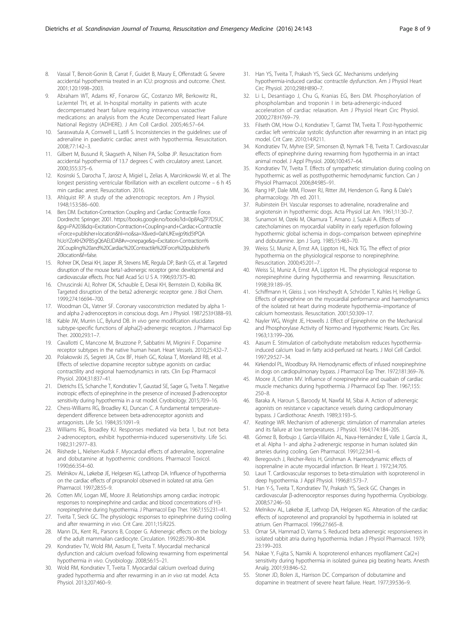- <span id="page-7-0"></span>8. Vassal T, Benoit-Gonin B, Carrat F, Guidet B, Maury E, Offenstadt G. Severe accidental hypothermia treated in an ICU: prognosis and outcome. Chest. 2001;120:1998–2003.
- 9. Abraham WT, Adams KF, Fonarow GC, Costanzo MR, Berkowitz RL, LeJemtel TH, et al. In-hospital mortality in patients with acute decompensated heart failure requiring intravenous vasoactive medications: an analysis from the Acute Decompensated Heart Failure National Registry (ADHERE). J Am Coll Cardiol. 2005;46:57–64.
- 10. Saraswatula A, Cornwell L, Latifi S. Inconsistencies in the guidelines: use of adrenaline in paediatric cardiac arrest with hypothermia. Resuscitation. 2008;77:142–3.
- 11. Gilbert M, Busund R, Skagseth A, Nilsen PA, Solbø JP. Resuscitation from accidental hypothermia of 13.7 degrees C with circulatory arrest. Lancet. 2000;355:375–6.
- 12. Kosinski S, Darocha T, Jarosz A, Migiel L, Zelias A, Marcinkowski W, et al. The longest persisting ventricular fibrillation with an excellent outcome – 6 h 45 min cardiac arrest. Resuscitation. 2016.
- Ahlquist RP. A study of the adrenotropic receptors. Am J Physiol. 1948;153:586–600.
- 14. Bers DM. Excitation-Contraction Coupling and Cardiac Contractile Force. Dordrecht: Springer; 2001. [https://books.google.no/books?id=0p8AqZP7D5UC](https://books.google.no/books?id=0p8AqZP7D5UC&pg=PA203&dq=Excitation-Contraction+Coupling+and+Cardiac+Contractile+Force+publisher+location&hl=no&sa=X&ved=0ahUKEwjp9tid5tPQAhUoYZoKHZKPB5gQ6AEIJDAB#v=onepage&q=Excitation-Contraction%20Coupling%20and%20Cardiac%20Contractile%20Force%20publisher%<?A3B2 ek?>20location&f=false) [&pg=PA203&dq=Excitation-Contraction+Coupling+and+Cardiac+Contractile](https://books.google.no/books?id=0p8AqZP7D5UC&pg=PA203&dq=Excitation-Contraction+Coupling+and+Cardiac+Contractile+Force+publisher+location&hl=no&sa=X&ved=0ahUKEwjp9tid5tPQAhUoYZoKHZKPB5gQ6AEIJDAB#v=onepage&q=Excitation-Contraction%20Coupling%20and%20Cardiac%20Contractile%20Force%20publisher%<?A3B2 ek?>20location&f=false) [+Force+publisher+location&hl=no&sa=X&ved=0ahUKEwjp9tid5tPQA](https://books.google.no/books?id=0p8AqZP7D5UC&pg=PA203&dq=Excitation-Contraction+Coupling+and+Cardiac+Contractile+Force+publisher+location&hl=no&sa=X&ved=0ahUKEwjp9tid5tPQAhUoYZoKHZKPB5gQ6AEIJDAB#v=onepage&q=Excitation-Contraction%20Coupling%20and%20Cardiac%20Contractile%20Force%20publisher%<?A3B2 ek?>20location&f=false) [hUoYZoKHZKPB5gQ6AEIJDAB#v=onepage&q=Excitation-Contraction%](https://books.google.no/books?id=0p8AqZP7D5UC&pg=PA203&dq=Excitation-Contraction+Coupling+and+Cardiac+Contractile+Force+publisher+location&hl=no&sa=X&ved=0ahUKEwjp9tid5tPQAhUoYZoKHZKPB5gQ6AEIJDAB#v=onepage&q=Excitation-Contraction%20Coupling%20and%20Cardiac%20Contractile%20Force%20publisher%<?A3B2 ek?>20location&f=false) [20Coupling%20and%20Cardiac%20Contractile%20Force%20publisher%](https://books.google.no/books?id=0p8AqZP7D5UC&pg=PA203&dq=Excitation-Contraction+Coupling+and+Cardiac+Contractile+Force+publisher+location&hl=no&sa=X&ved=0ahUKEwjp9tid5tPQAhUoYZoKHZKPB5gQ6AEIJDAB#v=onepage&q=Excitation-Contraction%20Coupling%20and%20Cardiac%20Contractile%20Force%20publisher%<?A3B2 ek?>20location&f=false) [20location&f=false](https://books.google.no/books?id=0p8AqZP7D5UC&pg=PA203&dq=Excitation-Contraction+Coupling+and+Cardiac+Contractile+Force+publisher+location&hl=no&sa=X&ved=0ahUKEwjp9tid5tPQAhUoYZoKHZKPB5gQ6AEIJDAB#v=onepage&q=Excitation-Contraction%20Coupling%20and%20Cardiac%20Contractile%20Force%20publisher%<?A3B2 ek?>20location&f=false).
- 15. Rohrer DK, Desai KH, Jasper JR, Stevens ME, Regula DP, Barsh GS, et al. Targeted disruption of the mouse beta1-adrenergic receptor gene: developmental and cardiovascular effects. Proc Natl Acad Sci U S A. 1996;93:7375–80.
- 16. Chruscinski AJ, Rohrer DK, Schauble E, Desai KH, Bernstein D, Kobilka BK. Targeted disruption of the beta2 adrenergic receptor gene. J Biol Chem. 1999;274:16694–700.
- 17. Woodman OL, Vatner SF. Coronary vasoconstriction mediated by alpha 1 and alpha 2-adrenoceptors in conscious dogs. Am J Physiol. 1987;253:H388–93.
- 18. Kable JW, Murrin LC, Bylund DB. In vivo gene modification elucidates subtype-specific functions of alpha(2)-adrenergic receptors. J Pharmacol Exp Ther. 2000;293:1–7.
- 19. Cavallotti C, Mancone M, Bruzzone P, Sabbatini M, Mignini F. Dopamine receptor subtypes in the native human heart. Heart Vessels. 2010;25:432–7.
- 20. Polakowski JS, Segreti JA, Cox BF, Hsieh GC, Kolasa T, Moreland RB, et al. Effects of selective dopamine receptor subtype agonists on cardiac contractility and regional haemodynamics in rats. Clin Exp Pharmacol Physiol. 2004;31:837–41.
- 21. Dietrichs ES, Schanche T, Kondratiev T, Gaustad SE, Sager G, Tveita T. Negative inotropic effects of epinephrine in the presence of increased β-adrenoceptor sensitivity during hypothermia in a rat model. Cryobiology. 2015;70:9–16.
- 22. Chess-Williams RG, Broadley KJ, Duncan C. A fundamental temperaturedependent difference between beta-adrenoceptor agonists and antagonists. Life Sci. 1984;35:1091–9.
- 23. Williams RG, Broadley KJ. Responses mediated via beta 1, but not beta 2-adrenoceptors, exhibit hypothermia-induced supersensitivity. Life Sci. 1982;31:2977–83.
- 24. Riishede L, Nielsen-Kudsk F. Myocardial effects of adrenaline, isoprenaline and dobutamine at hypothermic conditions. Pharmacol Toxicol. 1990;66:354–60.
- 25. Melnikov AL, Løkebø JE, Helgesen KG, Lathrop DA. Influence of hypothermia on the cardiac effects of propranolol observed in isolated rat atria. Gen Pharmacol. 1997;28:55–9.
- 26. Cotten MV, Logan ME, Moore JI. Relationships among cardiac inotropic responses to norepinephrine and cardiac and blood concentrations of H3 norepinephrine during hypothermia. J Pharmacol Exp Ther. 1967;155:231–41.
- 27. Tveita T, Sieck GC. The physiologic responses to epinephrine during cooling and after rewarming in vivo. Crit Care. 2011;15:R225.
- 28. Mann DL, Kent RL, Parsons B, Cooper G. Adrenergic effects on the biology of the adult mammalian cardiocyte. Circulation. 1992;85:790–804.
- 29. Kondratiev TV, Wold RM, Aasum E, Tveita T. Myocardial mechanical dysfunction and calcium overload following rewarming from experimental hypothermia in vivo. Cryobiology. 2008;56:15–21.
- 30. Wold RM, Kondratiev T, Tveita T. Myocardial calcium overload during graded hypothermia and after rewarming in an in vivo rat model. Acta Physiol. 2013;207:460–9.
- 31. Han YS, Tveita T, Prakash YS, Sieck GC. Mechanisms underlying hypothermia-induced cardiac contractile dysfunction. Am J Physiol Heart Circ Physiol. 2010;298:H890–7.
- 32. Li L, Desantiago J, Chu G, Kranias EG, Bers DM. Phosphorylation of phospholamban and troponin I in beta-adrenergic-induced acceleration of cardiac relaxation. Am J Physiol Heart Circ Physiol. 2000;278:H769–79.
- 33. Filseth OM, How O-J, Kondratiev T, Gamst TM, Tveita T. Post-hypothermic cardiac left ventricular systolic dysfunction after rewarming in an intact pig model. Crit Care. 2010;14:R211.
- 34. Kondratiev TV, Myhre ESP, Simonsen Ø, Nymark T-B, Tveita T. Cardiovascular effects of epinephrine during rewarming from hypothermia in an intact animal model. J Appl Physiol. 2006;100:457–64.
- 35. Kondratiev TV, Tveita T. Effects of sympathetic stimulation during cooling on hypothermic as well as posthypothermic hemodynamic function. Can J Physiol Pharmacol. 2006;84:985–91.
- 36. Rang HP, Dale MM, Flower RJ, Ritter JM, Henderson G. Rang & Dale's pharmacology. 7th ed. 2011.
- 37. Rubinstein EH. Vascular responses to adrenaline, noradrenaline and angiotensin in hypothermic dogs. Acta Physiol Lat Am. 1961;11:30–7.
- 38. Sunamori M, Ozeki M, Okamura T, Amano J, Suzuki A. Effects of catecholamines on myocardial viability in early reperfusion following hypothermic global ischemia in dogs–comparison between epinephrine and dobutamine. Jpn J Surg. 1985;15:463–70.
- 39. Weiss SJ, Muniz A, Ernst AA, Lippton HL, Nick TG. The effect of prior hypothermia on the physiological response to norepinephrine. Resuscitation. 2000;45:201–7.
- 40. Weiss SJ, Muniz A, Ernst AA, Lippton HL. The physiological response to norepinephrine during hypothermia and rewarming. Resuscitation. 1998;39:189–95.
- 41. Schiffmann H, Gleiss J, von Hirscheydt A, Schröder T, Kahles H, Hellige G. Effects of epinephrine on the myocardial performance and haemodynamics of the isolated rat heart during moderate hypothermia–importance of calcium homeostasis. Resuscitation. 2001;50:309–17.
- 42. Nayler WG, Wright JE, Howells J. Effect of Epinephrine on the Mechanical and Phosphorylase Activity of Normo-and Hypothermic Hearts. Circ Res. 1963;13:199–206.
- 43. Aasum E. Stimulation of carbohydrate metabolism reduces hypothermiainduced calcium load in fatty acid-perfused rat hearts. J Mol Cell Cardiol. 1997;29:527–34.
- 44. Kirkendol PL, Woodbury RA. Hemodynamic effects of infused norepinephrine in dogs on cardiopulmonary bypass. J Pharmacol Exp Ther. 1972;181:369–76.
- 45. Moore JI, Cotten MV. Influence of norepinephrine and ouabain of cardiac muscle mechanics during hypothermia. J Pharmacol Exp Ther. 1967;155: 250–8.
- 46. Baraka A, Haroun S, Baroody M, Nawfal M, Sibai A. Action of adrenergic agonists on resistance ν capacitance vessels during cardiopulmonary bypass. J Cardiothorac Anesth. 1989;3:193–5.
- 47. Keatinge WR. Mechanism of adrenergic stimulation of mammalian arteries and its failure at low temperatures. J Physiol. 1964;174:184–205.
- 48. Gómez B, Borbujo J, García-Villalón AL, Nava-Hernández E, Valle J, García JL, et al. Alpha 1- and alpha 2-adrenergic response in human isolated skin arteries during cooling. Gen Pharmacol. 1991;22:341–6.
- 49. Beregovich J, Reicher-Reiss H, Grishman A. Haemodynamic effects of isoprenaline in acute myocardial infarction. Br Heart J. 1972;34:705.
- 50. Lauri T. Cardiovascular responses to beta-stimulation with isoproterenol in deep hypothermia. J Appl Physiol. 1996;81:573–7.
- 51. Han Y-S, Tveita T, Kondratiev TV, Prakash YS, Sieck GC. Changes in cardiovascular β-adrenoceptor responses during hypothermia. Cryobiology. 2008;57:246–50.
- 52. Melnikov AL, Løkebø JE, Lathrop DA, Helgesen KG. Alteration of the cardiac effects of isoproterenol and propranolol by hypothermia in isolated rat atrium. Gen Pharmacol. 1996;27:665–8.
- 53. Omar SA, Hammad D, Varma S. Reduced beta adrenergic responsiveness in isolated rabbit atria during hypothermia. Indian J Physiol Pharmacol. 1979; 23:199–203.
- 54. Nakae Y, Fujita S, Namiki A. Isoproterenol enhances myofilament Ca(2+) sensitivity during hypothermia in isolated guinea pig beating hearts. Anesth Analg. 2001;93:846–52.
- 55. Stoner JD, Bolen JL, Harrison DC. Comparison of dobutamine and dopamine in treatment of severe heart failure. Heart. 1977;39:536–9.